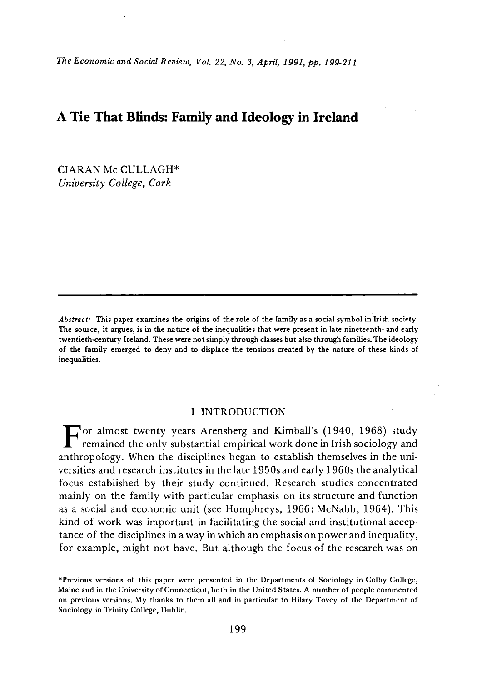*The Economic and Social Review, Vol. 22, No. 3, April, 1991, pp. 199-211* 

# **A Tie That Blinds: Family and Ideology in Ireland**

CIA RAN Mc CULLAGH\* *University College, Cork* 

*Abstract:* **This paper examines the origins of the role of the family as a social symbol in Irish society. The source, it argues, is in the nature of the inequalities that were present in late nineteenth- and early twentieth-century Ireland. These were not simply through classes but also through families. The ideology of the family emerged to deny and to displace the tensions created by the nature of these kinds of inequalities.** 

## I INTRODUCTION

or almost twenty years Arensberg and Kimball's (1940, 1968) study  $\blacksquare$  remained the only substantial empirical work done in Irish sociology and anthropology. When the disciplines began to establish themselves in the universities and research institutes in the late 1950s and early 1960s the analytical focus established by their study continued. Research studies concentrated mainly on the family with particular emphasis on its structure and function as a social and economic unit (see Humphreys, 1966; McNabb, 1964). This kind of work was important in facilitating the social and institutional acceptance of the disciplines in a way in which an emphasis on power and inequality, for example, might not have. But although the focus of the research was on

**<sup>•</sup>Previous versions of this paper were presented in the Departments of Sociology in Colby College, Maine and in the University of Connecticut, both in the United States. A number of people commented on previous versions. My thanks to them all and in particular to Hilary Tovey of the Department of Sociology in Trinity College, Dublin.**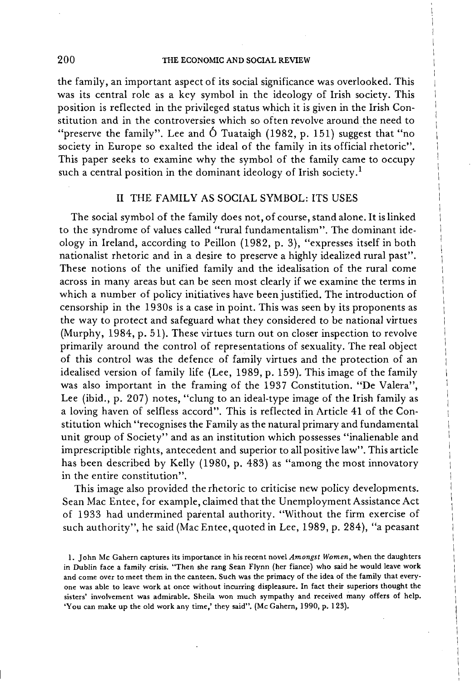#### THE ECONOMIC AND SOCIAL REVIEW

the family, an important aspect of its social significance was overlooked. This was its central role as a key symbol in the ideology of Irish society. This position is reflected in the privileged status which it is given in the Irish Constitution and in the controversies which so often revolve around the need to "preserve the family". Lee and  $\acute{o}$  Tuataigh (1982, p. 151) suggest that "no society in Europe so exalted the ideal of the family in its official rhetoric". This paper seeks to examine why the symbol of the family came to occupy such a central position in the dominant ideology of Irish society.<sup>1</sup>

## II THE FAMILY AS SOCIAL SYMBOL: ITS USES

The social symbol of the family does not, of course, stand alone. It is linked to the syndrome of values called "rural fundamentalism". The dominant ideology in Ireland, according to Peillon (1982, p. 3), "expresses itself in both nationalist rhetoric and in a desire to preserve a highly idealized rural past". These notions of the unified family and the idealisation of the rural come across in many areas but can be seen most clearly if we examine the terms in which a number of policy initiatives have been justified. The introduction of censorship in the 1930s is a case in point. This was seen by its proponents as the way to protect and safeguard what they considered to be national virtues (Murphy, 1984, p. 51). These virtues turn out on closer inspection to revolve primarily around the control of representations of sexuality. The real object of this control was the defence of family virtues and the protection of an idealised version of family life (Lee, 1989, p. 159). This image of the family was also important in the framing of the 1937 Constitution. "De Valera", Lee (ibid., p. 207) notes, "clung to an ideal-type image of the Irish family as a loving haven of selfless accord". This is reflected in Article 41 of the Constitution which "recognises the Family as the natural primary and fundamental unit group of Society" and as an institution which possesses "inalienable and imprescriptible rights, antecedent and superior to all positive law". This article has been described by Kelly (1980, p. 483) as "among the most innovatory in the entire constitution".

This image also provided the rhetoric to criticise new policy developments. Sean Mac Entee, for example, claimed that the Unemployment Assistance Act of 1933 had undermined parental authority. "Without the firm exercise of such authority", he said (Mac Entee, quoted in Lee, 1989, p. 284), "a peasant

200

**<sup>1.</sup> John Mc Gahern captures its importance in his recent novel** *Amongst Women,* **when the daughters in Dublin face a family crisis. "Then she rang Sean Flynn (her fiance) who said he would leave work and come over to meet them in the canteen. Such was the primacy of the idea of the family that everyone was able to leave work at once without incurring displeasure. In fact their superiors thought the sisters' involvement was admirable. Sheila won much sympathy and received many offers of help. 'You can make up the old work any time,' they said". (Mc Gahern, 1990, p. 123).**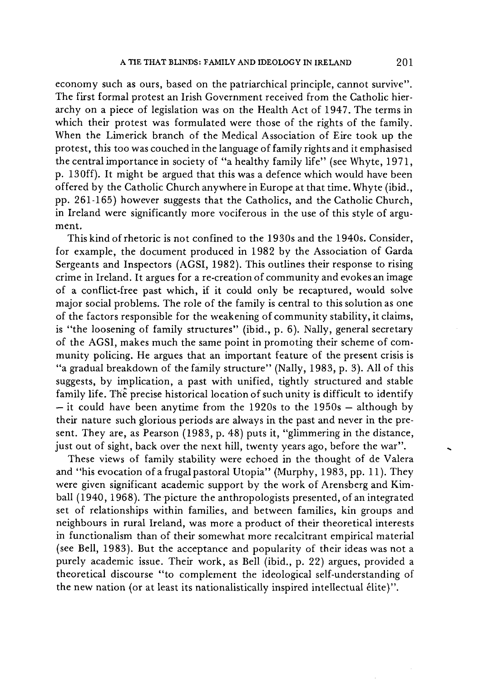economy such as ours, based on the patriarchical principle, cannot survive". The first formal protest an Irish Government received from the Catholic hierarchy on a piece of legislation was on the Health Act of 1947. The terms in which their protest was formulated were those of the rights of the family. When the Limerick branch of the Medical Association of Eire took up the protest, this too was couched in the language of family rights and it emphasised the central importance in society of "a healthy family life" (see Whyte, 1971, p. 13Off). It might be argued that this was a defence which would have been offered by the Catholic Church anywhere in Europe at that time. Whyte (ibid., pp. 261-165) however suggests that the Catholics, and the Catholic Church, in Ireland were significantly more vociferous in the use of this style of argument.

This kind of rhetoric is not confined to the 1930s and the 1940s. Consider, for example, the document produced in 1982 by the Association of Garda Sergeants and Inspectors (AGSI, 1982). This outlines their response to rising crime in Ireland. It argues for a re-creation of community and evokes an image of a conflict-free past which, if it could only be recaptured, would solve major social problems. The role of the family is central to this solution as one of the factors responsible for the weakening of community stability, it claims, is "the loosening of family structures" (ibid., p. 6). Nally, general secretary of the AGSI, makes much the same point in promoting their scheme of community policing. He argues that an important feature of the present crisis is "a gradual breakdown of the family structure" (Nally, 1983, p. 3). All of this suggests, by implication, a past with unified, tightly structured and stable family life. The precise historical location of such unity is difficult to identify — it could have been anytime from the 1920s to the 1950s — although by their nature such glorious periods are always in the past and never in the present. They are, as Pearson (1983, p. 48) puts it, "glimmering in the distance, just out of sight, back over the next hill, twenty years ago, before the war".

These views of family stability were echoed in the thought of de Valera and "his evocation of a frugal pastoral Utopia" (Murphy, 1983, pp. 11). They were given significant academic support by the work of Arensberg and Kimball (1940, 1968). The picture the anthropologists presented, of an integrated set of relationships within families, and between families, kin groups and neighbours in rural Ireland, was more a product of their theoretical interests in functionalism than of their somewhat more recalcitrant empirical material (see Bell, 1983). But the acceptance and popularity of their ideas was not a purely academic issue. Their work, as Bell (ibid., p. 22) argues, provided a theoretical discourse "to complement the ideological self-understanding of the new nation (or at least its nationalistically inspired intellectual élite)".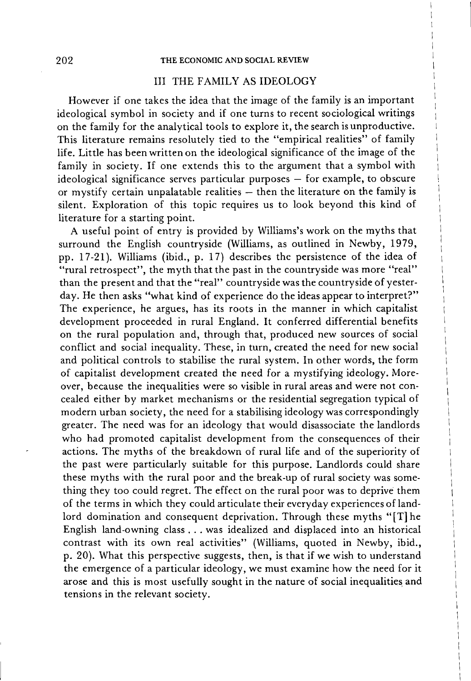### THE ECONOMIC AND SOCIAL REVIEW

# III THE FAMILY AS IDEOLOGY

However if one takes the idea that the image of the family is an important ideological symbol in society and if one turns to recent sociological writings on the family for the analytical tools to explore it, the search is unproductive. This literature remains resolutely tied to the "empirical realities" of family life. Little has been written on the ideological significance of the image of the family in society. If one extends this to the argument that a symbol with ideological significance serves particular purposes — for example, to obscure or mystify certain unpalatable realities — then the literature on the family is silent. Exploration of this topic requires us to look beyond this kind of literature for a starting point.

A useful point of entry is provided by Williams's work on the myths that surround the English countryside (Williams, as outlined in Newby, 1979, pp. 17-21). Williams (ibid., p. 17) describes the persistence of the idea of "rural retrospect", the myth that the past in the countryside was more "real" than the present and that the "real" countryside was the countryside of yesterday. He then asks "what kind of experience do the ideas appear to interpret?" The experience, he argues, has its roots in the manner in which capitalist development proceeded in rural England. It conferred differential benefits on the rural population and, through that, produced new sources of social conflict and social inequality. These, in turn, created the need for new social and political controls to stabilise the rural system. In other words, the form of capitalist development created the need for a mystifying ideology. Moreover, because the inequalities were so visible in rural areas and were not concealed either by market mechanisms or the residential segregation typical of modern urban society, the need for a stabilising ideology was correspondingly greater. The need was for an ideology that would disassociate the landlords who had promoted capitalist development from the consequences of their actions. The myths of the breakdown of rural life and of the superiority of the past were particularly suitable for this purpose. Landlords could share these myths with the rural poor and the break-up of rural society was something they too could regret. The effect on the rural poor was to deprive them of the terms in which they could articulate their everyday experiences of landlord domination and consequent deprivation. Through these myths "[T] he English land-owning class . . . was idealized and displaced into an historical contrast with its own real activities" (Williams, quoted in Newby, ibid., p. 20). What this perspective suggests, then, is that if we wish to understand the emergence of a particular ideology, we must examine how the need for it arose and this is most usefully sought in the nature of social inequalities and tensions in the relevant society.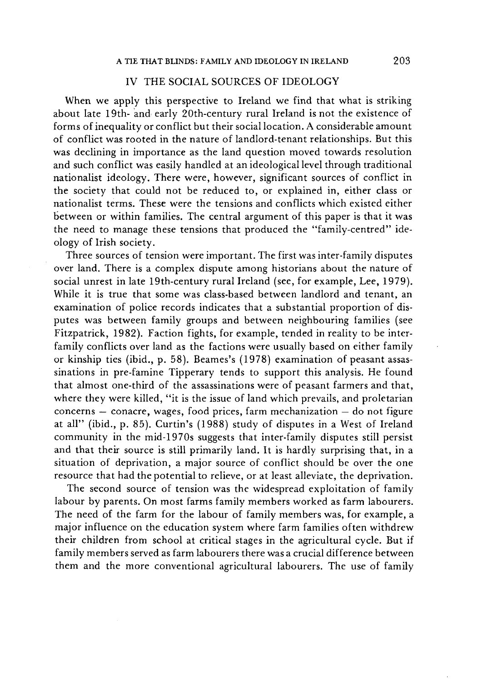# IV THE SOCIAL SOURCES OF IDEOLOGY

When we apply this perspective to Ireland we find that what is striking about late 19th- and early 20th-century rural Ireland is not the existence of forms of inequality or conflict but their social location. A considerable amount of conflict was rooted in the nature of landlord-tenant relationships. But this was declining in importance as the land question moved towards resolution and such conflict was easily handled at an ideological level through traditional nationalist ideology. There were, however, significant sources of conflict in the society that could not be reduced to, or explained in, either class or nationalist terms. These were the tensions and conflicts which existed either between or within families. The central argument of this paper is that it was the need to manage these tensions that produced the "family-centred" ideology of Irish society.

Three sources of tension were important. The first was inter-family disputes over land. There is a complex dispute among historians about the nature of social unrest in late 19th-century rural Ireland (see, for example, Lee, 1979). While it is true that some was class-based between landlord and tenant, an examination of police records indicates that a substantial proportion of disputes was between family groups and between neighbouring families (see Fitzpatrick, 1982). Faction fights, for example, tended in reality to be interfamily conflicts over land as the factions were usually based on either family or kinship ties (ibid., p. 58). Beames's (1978) examination of peasant assassinations in pre-famine Tipperary tends to support this analysis. He found that almost one-third of the assassinations were of peasant farmers and that, where they were killed, "it is the issue of land which prevails, and proletarian concerns — conacre, wages, food prices, farm mechanization — do not figure at all" (ibid., p. 85). Curtin's (1988) study of disputes in a West of Ireland community in the mid-1970s suggests that inter-family disputes still persist and that their source is still primarily land. It is hardly surprising that, in a situation of deprivation, a major source of conflict should be over the one resource that had the potential to relieve, or at least alleviate, the deprivation.

The second source of tension was the widespread exploitation of family labour by parents. On most farms family members worked as farm labourers. The need of the farm for the labour of family members was, for example, a major influence on the education system where farm families often withdrew their children from school at critical stages in the agricultural cycle. But if family members served as farm labourers there was a crucial difference between them and the more conventional agricultural labourers. The use of family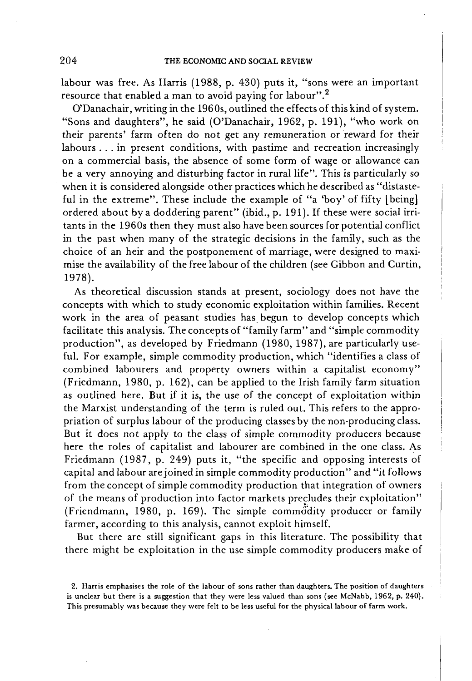labour was free. As Harris (1988, p. 430) puts it, "sons were an important resource that enabled a man to avoid paying for labour".<sup>2</sup>

O'Danachair, writing in the 1960s, outlined the effects of this kind of system. "Sons and daughters", he said (O'Danachair, 1962, p. 191), "who work on their parents' farm often do not get any remuneration or reward for their labours .. . in present conditions, with pastime and recreation increasingly on a commercial basis, the absence of some form of wage or allowance can be a very annoying and disturbing factor in rural life". This is particularly so when it is considered alongside other practices which he described as "distasteful in the extreme". These include the example of "a 'boy' of fifty [being] ordered about by a doddering parent" (ibid., p. 191). If these were social irritants in the 1960s then they must also have been sources for potential conflict in the past when many of the strategic decisions in the family, such as the choice of an heir and the postponement of marriage, were designed to maximise the availability of the free labour of the children (see Gibbon and Curtin, 1978).

As theoretical discussion stands at present, sociology does not have the concepts with which to study economic exploitation within families. Recent work in the area of peasant studies has begun to develop concepts which facilitate this analysis. The concepts of "family farm" and "simple commodity production", as developed by Friedmann (1980, 1987), are particularly useful. For example, simple commodity production, which "identifies a class of combined labourers and property owners within a capitalist economy" (Friedmann, 1980, p. 162), can be applied to the Irish family farm situation as outlined here. But if it is, the use of the concept of exploitation within the Marxist understanding of the term is ruled out. This refers to the appropriation of surplus labour of the producing classes by the non-producing class. But it does not apply to the class of simple commodity producers because here the roles of capitalist and labourer are combined in the one class. As Friedmann (1987, p. 249) puts it, "the specific and opposing interests of capital and labour are joined in simple commodity production" and "it follows from the concept of simple commodity production that integration of owners of the means of production into factor markets precludes their exploitation" (Friendmann, 1980, p. 169). The simple commodity producer or family farmer, according to this analysis, cannot exploit himself.

But there are still significant gaps in this literature. The possibility that there might be exploitation in the use simple commodity producers make of

**<sup>2.</sup> Harris emphasises the role of the labour of sons rather than daughters. The position of daughters is unclear but there is a suggestion that they were less valued than sons (see McNabb, 1962, p. 240). This presumably was because they were felt to be less useful for the physical labour of farm work.**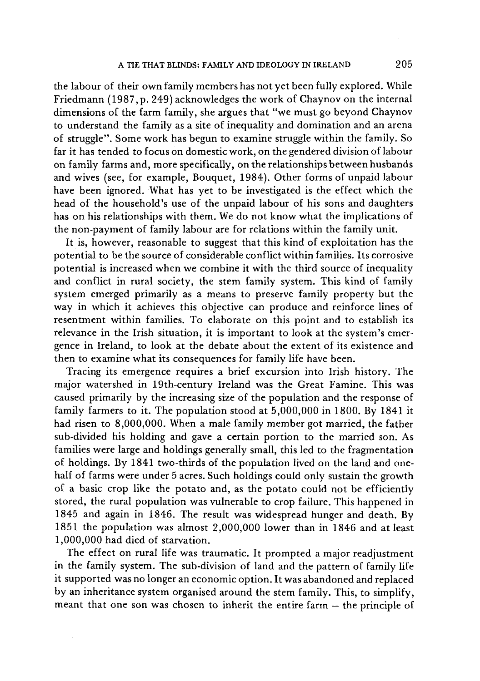the labour of their own family members has not yet been fully explored. While Friedmann (1987, p. 249) acknowledges the work of Chaynov on the internal dimensions of the farm family, she argues that "we must go beyond Chaynov to understand the family as a site of inequality and domination and an arena of struggle". Some work has begun to examine struggle within the family. So far it has tended to focus on domestic work, on the gendered division of labour on family farms and, more specifically, on the relationships between husbands and wives (see, for example, Bouquet, 1984). Other forms of unpaid labour have been ignored. What has yet to be investigated is the effect which the head of the household's use of the unpaid labour of his sons and daughters has on his relationships with them. We do not know what the implications of the non-payment of family labour are for relations within the family unit.

It is, however, reasonable to suggest that this kind of exploitation has the potential to be the source of considerable conflict within families. Its corrosive potential is increased when we combine it with the third source of inequality and conflict in rural society, the stem family system. This kind of family system emerged primarily as a means to preserve family property but the way in which it achieves this objective can produce and reinforce lines of resentment within families. To elaborate on this point and to establish its relevance in the Irish situation, it is important to look at the system's emergence in Ireland, to look at the debate about the extent of its existence and then to examine what its consequences for family life have been.

Tracing its emergence requires a brief excursion into Irish history. The major watershed in 19th-century Ireland was the Great Famine. This was caused primarily by the increasing size of the population and the response of family farmers to it. The population stood at  $5,000,000$  in 1800. By 1841 it had risen to 8,000,000. When a male family member got married, the father sub-divided his holding and gave a certain portion to the married son. As families were large and holdings generally small, this led to the fragmentation of holdings. By 1841 two-thirds of the population lived on the land and onehalf of farms were under 5 acres. Such holdings could only sustain the growth of a basic crop like the potato and, as the potato could not be efficiently stored, the rural population was vulnerable to crop failure. This happened in 1845 and again in 1846. The result was widespread hunger and death. By 1851 the population was almost 2,000,000 lower than in 1846 and at least 1,000,000 had died of starvation.

The effect on rural life was traumatic. It prompted a major readjustment in the family system. The sub-division of land and the pattern of family life it supported was no longer an economic option. It was abandoned and replaced by an inheritance system organised around the stem family. This, to simplify, meant that one son was chosen to inherit the entire farm — the principle of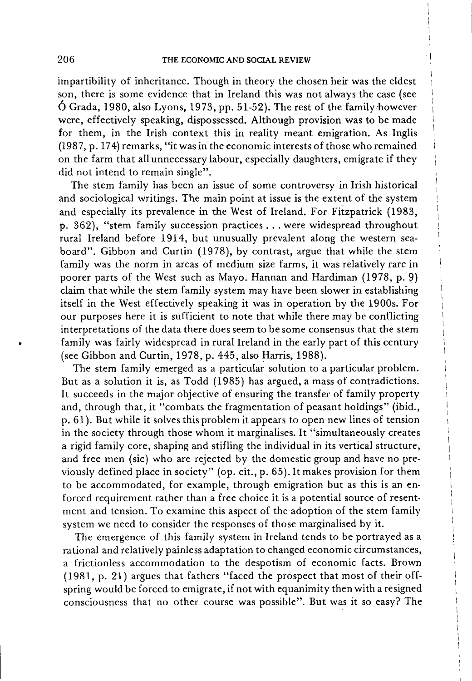impartibility of inheritance. Though in theory the chosen heir was the eldest son, there is some evidence that in Ireland this was not always the case (see  $\acute{O}$  Grada, 1980, also Lyons, 1973, pp. 51-52). The rest of the family however were, effectively speaking, dispossessed. Although provision was to be made for them, in the Irish context this in reality meant emigration. As Inglis (1987, p. 174) remarks, "it was in the economic interests of those who remained on the farm that all unnecessary labour, especially daughters, emigrate if they did not intend to remain single".

The stem family has been an issue of some controversy in Irish historical and sociological writings. The main point at issue is the extent of the system and especially its prevalence in the West of Ireland. For Fitzpatrick (1983, p. 362), "stem family succession practices . . . were widespread throughout rural Ireland before 1914, but unusually prevalent along the western seaboard". Gibbon and Curtin (1978), by contrast, argue that while the stem family was the norm in areas of medium size farms, it was relatively rare in poorer parts of the West such as Mayo. Hannan and Hardiman (1978, p. 9) claim that while the stem family system may have been slower in establishing itself in the West effectively speaking it was in operation by the 1900s. For our purposes here it is sufficient to note that while there may be conflicting interpretations of the data there does seem to be some consensus that the stem family was fairly widespread in rural Ireland in the early part of this century (see Gibbon and Curtin, 1978, p. 445, also Harris, 1988).

The stem family emerged as a particular solution to a particular problem. But as a solution it is, as Todd (1985) has argued, a mass of contradictions. It succeeds in the major objective of ensuring the transfer of family property and, through that, it "combats the fragmentation of peasant holdings" (ibid., p. 61). But while it solves this problem it appears to open new lines of tension in the society through those whom it marginalises. It "simultaneously creates a rigid family core, shaping and stifling the individual in its vertical structure, and free men (sic) who are rejected by the domestic group and have no previously defined place in society" (op. cit., p. 65). It makes provision for them to be accommodated, for example, through emigration but as this is an enforced requirement rather than a free choice it is a potential source of resentment and tension. To examine this aspect of the adoption of the stem family system we need to consider the responses of those marginalised by it.

The emergence of this family system in Ireland tends to be portrayed as a rational and relatively painless adaptation to changed economic circumstances, a frictionless accommodation to the despotism of economic facts. Brown (1981, p. 21) argues that fathers "faced the prospect that most of their offspring would be forced to emigrate, if not with equanimity then with a resigned consciousness that no other course was possible". But was it so easy? The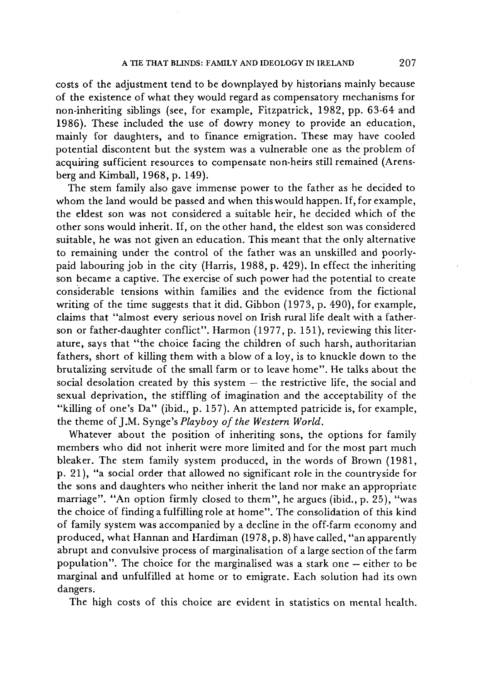costs of the adjustment tend to be downplayed by historians mainly because of the existence of what they would regard as compensatory mechanisms for non-inheriting siblings (see, for example, Fitzpatrick, 1982, pp. 63-64 and 1986). These included the use of dowry money to provide an education, mainly for daughters, and to finance emigration. These may have cooled potential discontent but the system was a vulnerable one as the problem of acquiring sufficient resources to compensate non-heirs still remained (Arensberg and Kimball, 1968, p. 149).

The stem family also gave immense power to the father as he decided to whom the land would be passed and when this would happen. If, for example, the eldest son was not considered a suitable heir, he decided which of the other sons would inherit. If, on the other hand, the eldest son was considered suitable, he was not given an education. This meant that the only alternative to remaining under the control of the father was an unskilled and poorlypaid labouring job in the city (Harris, 1988, p. 429). In effect the inheriting son became a captive. The exercise of such power had the potential to create considerable tensions within families and the evidence from the fictional writing of the time suggests that it did. Gibbon (1973, p. 490), for example, claims that "almost every serious novel on Irish rural life dealt with a fatherson or father-daughter conflict". Harmon (1977, p. 151), reviewing this literature, says that "the choice facing the children of such harsh, authoritarian fathers, short of killing them with a blow of a loy, is to knuckle down to the brutalizing servitude of the small farm or to leave home". He talks about the social desolation created by this system — the restrictive life, the social and sexual deprivation, the stiffling of imagination and the acceptability of the "killing of one's Da" (ibid., p. 157). An attempted patricide is, for example, the theme of J.M. Synge's *Playboy of the Western World.* 

Whatever about the position of inheriting sons, the options for family members who did not inherit were more limited and for the most part much bleaker. The stem family system produced, in the words of Brown (1981, p. 21), "a social order that allowed no significant role in the countryside for the sons and daughters who neither inherit the land nor make an appropriate marriage". "An option firmly closed to them", he argues (ibid., p. 25), "was the choice of finding a fulfilling role at home". The consolidation of this kind of family system was accompanied by a decline in the off-farm economy and produced, what Hannan and Hardiman (1978, p. 8) have called, "an apparently abrupt and convulsive process of marginalisation of a large section of the farm population". The choice for the marginalised was a stark one — either to be marginal and unfulfilled at home or to emigrate. Each solution had its own dangers.

The high costs of this choice are evident in statistics on mental health.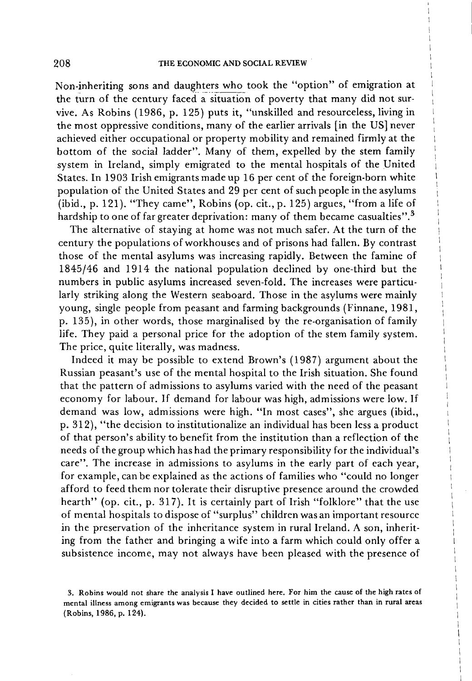Non-inheriting sons and daughters who took the "option" of emigration at the turn of the century faced a situation of poverty that many did not survive. As Robins (1986, p. 125) puts it, "unskilled and resourceless, living in the most oppressive conditions, many of the earlier arrivals [in the US] never achieved either occupational or property mobility and remained firmly at the bottom of the social ladder". Many of them, expelled by the stem family system in Ireland, simply emigrated to the mental hospitals of the United States. In 1903 Irish emigrants made up 16 per cent of the foreign-born white population of the United States and 29 per cent of such people in the asylums (ibid., p. 121). "They came", Robins (op. cit., p. 125) argues, "from a life of hardship to one of far greater deprivation: many of them became casualties".<sup>3</sup>

The alternative of staying at home was not much safer. At the turn of the century the populations of workhouses and of prisons had fallen. By contrast those of the mental asylums was increasing rapidly. Between the famine of 1845/46 and 1914 the national population declined by one-third but the numbers in public asylums increased seven-fold. The increases were particularly striking along the Western seaboard. Those in the asylums were mainly young, single people from peasant and farming backgrounds (Finnane, 1981, p. 135), in other words, those marginalised by the re-organisation of family life. They paid a personal price for the adoption of the stem family system. The price, quite literally, was madness.

Indeed it may be possible to extend Brown's (1987) argument about the Russian peasant's use of the mental hospital to the Irish situation. She found that the pattern of admissions to asylums varied with the need of the peasant economy for labour. If demand for labour was high, admissions were low. If demand was low, admissions were high. "In most cases", she argues (ibid., p. 312), "the decision to institutionalize an individual has been less a product of that person's ability to benefit from the institution than a reflection of the needs of the group which has had the primary responsibility for the individual's care". The increase in admissions to asylums in the early part of each year, for example, can be explained as the actions of families who "could no longer afford to feed them nor tolerate their disruptive presence around the crowded hearth" (op. cit., p. 317). It is certainly part of Irish "folklore" that the use of mental hospitals to dispose of "surplus" children was an important resource in the preservation of the inheritance system in rural Ireland. A son, inheriting from the father and bringing a wife into a farm which could only offer a subsistence income, may not always have been pleased with the presence of

**<sup>3.</sup> Robins would not share the analysis I have outlined here. For him the cause of the high rates of mental illness among emigrants was because they decided to settle in cities rather than in rural areas (Robins, 1986, p. 124).**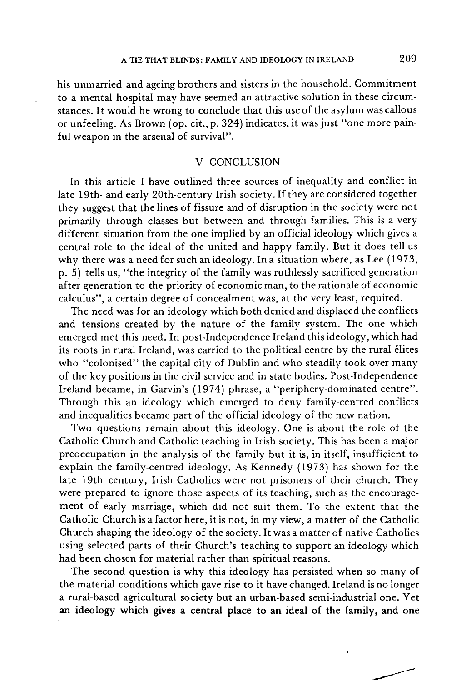### A TIE THAT BLINDS: FAMILY AND IDEOLOGY IN IRELAND

his unmarried and ageing brothers and sisters in the household. Commitment to a mental hospital may have seemed an attractive solution in these circumstances. It would be wrong to conclude that this use of the asylum was callous or unfeeling. As Brown (op. cit.,p. 324) indicates, it was just "one more painful weapon in the arsenal of survival".

### V CONCLUSION

In this article I have outlined three sources of inequality and conflict in late 19th- and early 20th-century Irish society. If they are considered together they suggest that the lines of fissure and of disruption in the society were not primarily through classes but between and through families. This is a very different situation from the one implied by an official ideology which gives a central role to the ideal of the united and happy family. But it does tell us why there was a need for such an ideology. In a situation where, as Lee (1973, p. 5) tells us, "the integrity of the family was ruthlessly sacrificed generation after generation to the priority of economic man, to the rationale of economic calculus", a certain degree of concealment was, at the very least, required.

The need was for an ideology which both denied and displaced the conflicts and tensions created by the nature of the family system. The one which emerged met this need. In post-Independence Ireland this ideology, which had its roots in rural Ireland, was carried to the political centre by the rural élites who "colonised" the capital city of Dublin and who steadily took over many of the key positions in the civil service and in state bodies. Post-Independence Ireland became, in Garvin's (1974) phrase, a "periphery-dominated centre". Through this an ideology which emerged to deny family-centred conflicts and inequalities became part of the official ideology of the new nation.

Two questions remain about this ideology. One is about the role of the Catholic Church and Catholic teaching in Irish society. This has been a major preoccupation in the analysis of the family but it is, in itself, insufficient to explain the family-centred ideology. As Kennedy (1973) has shown for the late 19th century, Irish Catholics were not prisoners of their church. They were prepared to ignore those aspects of its teaching, such as the encouragement of early marriage, which did not suit them. To the extent that the Catholic Church is a factor here, it is not, in my view, a matter of the Catholic Church shaping the ideology of the society. It was a matter of native Catholics using selected parts of their Church's teaching to support an ideology which had been chosen for material rather than spiritual reasons.

The second question is why this ideology has persisted when so many of the material conditions which gave rise to it have changed. Ireland is no longer a rural-based agricultural society but an urban-based semi-industrial one. Yet an ideology which gives a central place to an ideal of the family, and one

209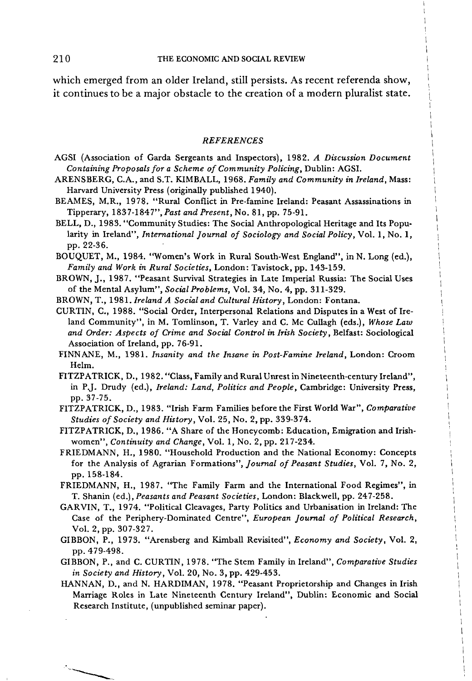which emerged from an older Ireland, still persists. As recent referenda show, it continues to be a major obstacle to the creation of a modern pluralist state.

#### *REFERENCES*

- **AGSI (Association of Garda Sergeants and Inspectors), 1982.** *A Discussion Document Containing Proposals for a Scheme of Community Policing,* **Dublin: AGSI.**
- **ARENSBERG , C.A., and S.T. KIMBALL, 1968.** *Family and Community in Ireland,* **Mass: Harvard University Press (originally published 1940).**
- **BEAMES, M.R., 1978. "Rural Conflict in Pre-famine Ireland: Peasant Assassinations in Tipperary, 1837-1847",** *Past and Present,* **No. 81, pp. 75-91.**
- **BELL , D., 1983. "Community Studies: The Social Anthropological Heritage and Its Popularity in Ireland",** *International Journal of Sociology and Social Policy,* **Vol. 1, No. 1, pp. 22-36.**

**BOUQUET, M., 1984. "Women's Work in Rural South-West England", inN. Long (ed.),**  *Family and Work in Rural Societies,* **London: Tavistock, pp. 143-159.** 

- **BROWN, J. , 1987. "Peasant Survival Strategies in Late Imperial Russia: The Social Uses of the Mental Asylum",** *Social Problems,* **Vol. 34, No. 4, pp. 311-329.**
- **BROWN, T., 1981.** *Ireland A Social and Cultural History,* **London: Fontana.**
- **CURTIN, C , 1988. "Social Order, Interpersonal Relations and Disputes in a West of Ireland Community", in M. Tomlinson, T. Varley and C. Mc Cullagh (eds.),** *Whose Law and Order: Aspects of Crime and Social Control in Irish Society,* **Belfast: Sociological Association of Ireland, pp. 76-91.**
- **FINNANE, M., 1981.** *Insanity and the Insane in Post-Famine Ireland,* **London: Croom Helm.**
- **FITZPATRICK, D., 1982. "Class, Family and Rural Unrest in Nineteenth-century Ireland", in P.J. Drudy (ed.),** *Ireland: Land, Politics and People,* **Cambridge: University Press, pp. 37-75.**
- **FITZPATRICK , D., 1983. "Irish Farm Families before the First World War",** *Comparative Studies of Society and History,* **Vol. 25, No. 2, pp. 339-374.**
- **FITZPATRICK, D., 1986. "A Share of the Honeycomb: Education, Emigration and Irishwomen",** *Continuity and Change,* **Vol. 1, No. 2, pp. 217-234.**
- **FRIEDMANN, H. , 1980. "Household Production and the National Economy: Concepts for the Analysis of Agrarian Formations",** *Journal of Peasant Studies,* **Vol. 7, No. 2, pp. 158-184.**
- **FRIEDMANN, H., 1987. "The Family Farm and the International Food Regimes", in T. Shanin (ed.),** *Peasants and Peasant Societies,* **London: Blackwell, pp. 247-258.**
- **GARVIN , T., 1974. "Political Cleavages, Party Politics and Urbanisation in Ireland: The Case of the Periphery-Dominated Centre",** *European Journal of Political Research,*  **Vol. 2, pp. 307-327.**
- **GIBBON, P., 1973. "Arensberg and Kimball Revisited",** *Economy and Society,* **Vol. 2, pp. 479-498.**
- **GIBBON, P., and C. CURTIN , 1978. "The Stem Family in Ireland",** *Comparative Studies in Society and History,* **Vol. 20, No. 3, pp. 429-453.**
- **HANNAN, D., and N. HARDIMAN, 1978. "Peasant Proprietorship and Changes in Irish Marriage Roles in Late Nineteenth Century Ireland", Dublin: Economic and Social Research Institute, (unpublished seminar paper).**

210